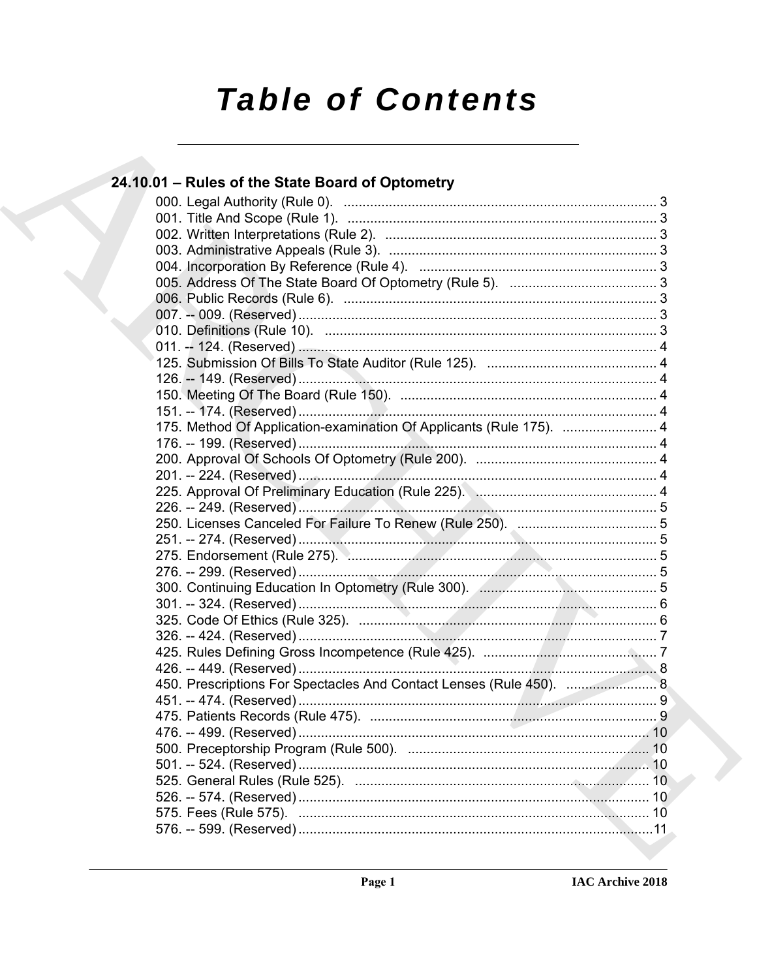# **Table of Contents**

### 24.10.01 – Rules of the State Board of Optometry 175. Method Of Application-examination Of Applicants (Rule 175). ................................ 4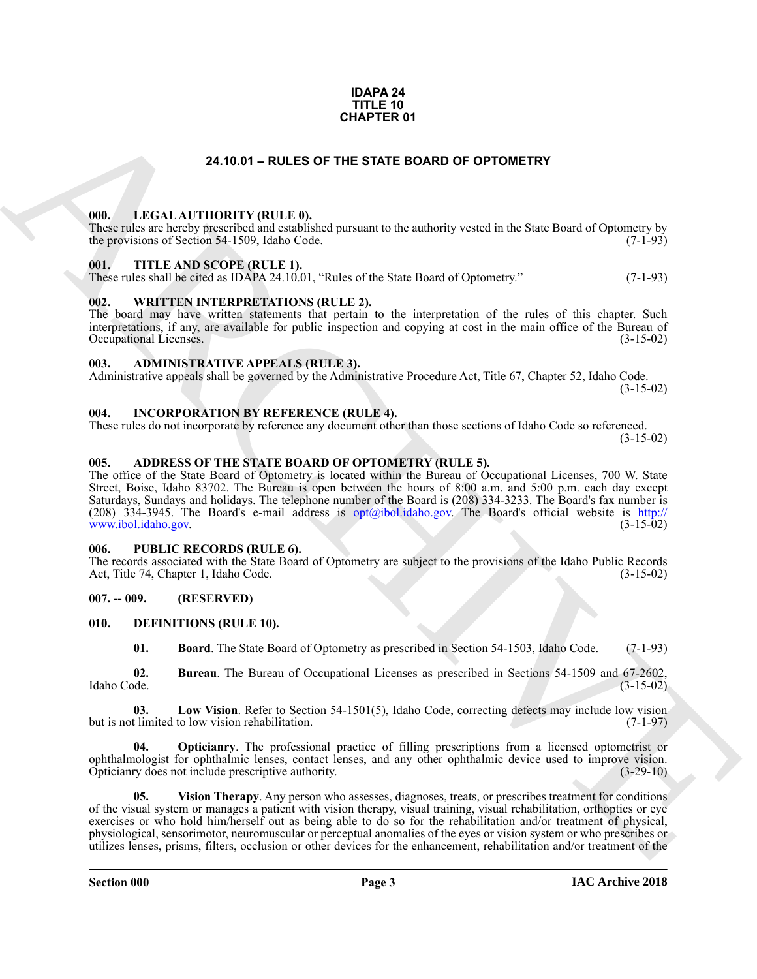#### **IDAPA 24 TITLE 10 CHAPTER 01**

#### **24.10.01 – RULES OF THE STATE BOARD OF OPTOMETRY**

#### <span id="page-2-19"></span><span id="page-2-1"></span><span id="page-2-0"></span>**000. LEGAL AUTHORITY (RULE 0).**

These rules are hereby prescribed and established pursuant to the authority vested in the State Board of Optometry by the provisions of Section 54-1509, Idaho Code.

#### <span id="page-2-21"></span><span id="page-2-2"></span>**001. TITLE AND SCOPE (RULE 1).**

These rules shall be cited as IDAPA 24.10.01, "Rules of the State Board of Optometry." (7-1-93)

#### <span id="page-2-22"></span><span id="page-2-3"></span>**002. WRITTEN INTERPRETATIONS (RULE 2).**

The board may have written statements that pertain to the interpretation of the rules of this chapter. Such interpretations, if any, are available for public inspection and copying at cost in the main office of the Bureau of Occupational Licenses. (3-15-02) Occupational Licenses.

#### <span id="page-2-11"></span><span id="page-2-4"></span>**003. ADMINISTRATIVE APPEALS (RULE 3).**

Administrative appeals shall be governed by the Administrative Procedure Act, Title 67, Chapter 52, Idaho Code.  $(3-15-02)$ 

#### <span id="page-2-18"></span><span id="page-2-5"></span>**004. INCORPORATION BY REFERENCE (RULE 4).**

These rules do not incorporate by reference any document other than those sections of Idaho Code so referenced. (3-15-02)

#### <span id="page-2-10"></span><span id="page-2-6"></span>**005. ADDRESS OF THE STATE BOARD OF OPTOMETRY (RULE 5).**

**[CH](mailto:opt@ibol.idaho.gov)APTER 01**<br> **CHARCHIVE CONFIDENTY (RULLE 6)**<br> **CHARCHIVE CONFIDENTY (RULE 6)**<br> **CHARCHIVE CONFIDENTY (RULE 6)**<br> **CHARCHIVE CONFIDENTIAL CHARCHIVE CONFIDENTIAL CHARCHIVE CONFIDENTIAL CHARCHIVE CONFIDENTIAL CHARCHIVE CONF** The office of the State Board of Optometry is located within the Bureau of Occupational Licenses, 700 W. State Street, Boise, Idaho 83702. The Bureau is open between the hours of 8:00 a.m. and 5:00 p.m. each day except Saturdays, Sundays and holidays. The telephone number of the Board is (208) 334-3233. The Board's fax number is (208) 334-3945. The Board's e-mail address is  $opt(aibol.idaho.gov)$ . The Board's official website is http:// www.ibol.idaho.gov. (3-15-02)

#### <span id="page-2-20"></span><span id="page-2-7"></span>**006. PUBLIC RECORDS (RULE 6).**

The records associated with the State Board of Optometry are subject to the provisions of the Idaho Public Records Act, Title 74, Chapter 1, Idaho Code. (3-15-02)

#### <span id="page-2-8"></span>**007. -- 009. (RESERVED)**

#### <span id="page-2-9"></span>**010. DEFINITIONS (RULE 10).**

<span id="page-2-15"></span><span id="page-2-14"></span><span id="page-2-13"></span><span id="page-2-12"></span>**01. Board**. The State Board of Optometry as prescribed in Section 54-1503, Idaho Code. (7-1-93)

**02. Bureau**. The Bureau of Occupational Licenses as prescribed in Sections 54-1509 and 67-2602, Idaho Code. (3-15-02)

**03. Low Vision**. Refer to Section 54-1501(5), Idaho Code, correcting defects may include low vision but is not limited to low vision rehabilitation. (7-1-97)

<span id="page-2-16"></span>**04. Opticianry**. The professional practice of filling prescriptions from a licensed optometrist or ophthalmologist for ophthalmic lenses, contact lenses, and any other ophthalmic device used to improve vision. Opticianry does not include prescriptive authority. (3-29-10)

<span id="page-2-17"></span>**05. Vision Therapy**. Any person who assesses, diagnoses, treats, or prescribes treatment for conditions of the visual system or manages a patient with vision therapy, visual training, visual rehabilitation, orthoptics or eye exercises or who hold him/herself out as being able to do so for the rehabilitation and/or treatment of physical, physiological, sensorimotor, neuromuscular or perceptual anomalies of the eyes or vision system or who prescribes or utilizes lenses, prisms, filters, occlusion or other devices for the enhancement, rehabilitation and/or treatment of the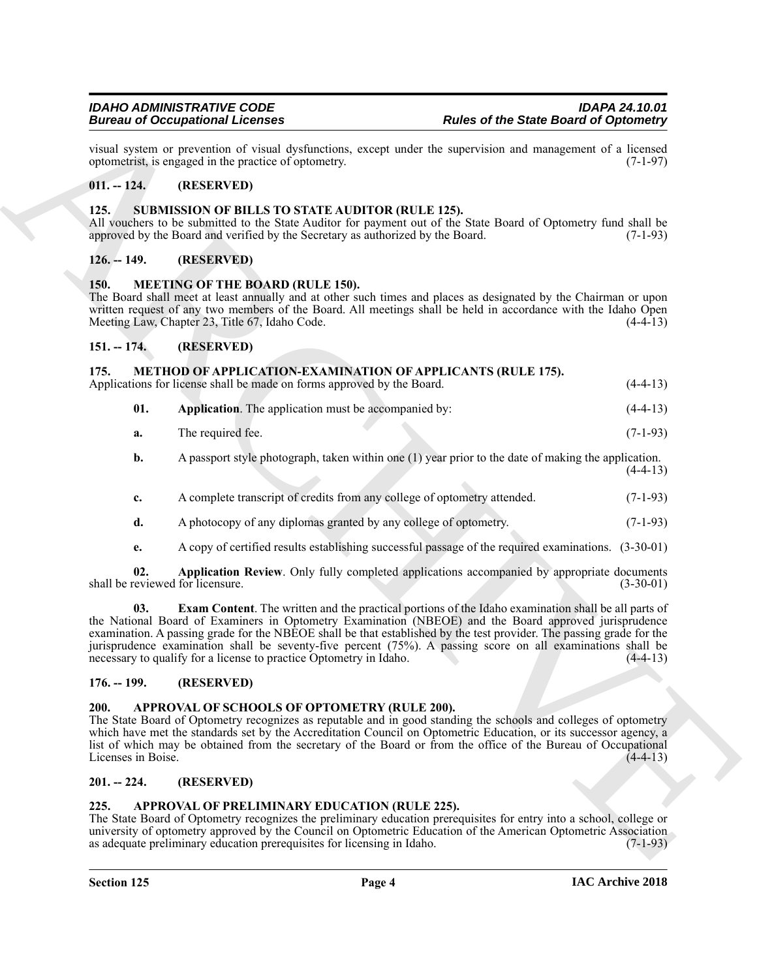#### <span id="page-3-0"></span>**011. -- 124. (RESERVED)**

#### <span id="page-3-17"></span><span id="page-3-1"></span>**125. SUBMISSION OF BILLS TO STATE AUDITOR (RULE 125).**

#### <span id="page-3-2"></span>**126. -- 149. (RESERVED)**

#### <span id="page-3-12"></span><span id="page-3-3"></span>**150. MEETING OF THE BOARD (RULE 150).**

#### <span id="page-3-14"></span><span id="page-3-13"></span><span id="page-3-5"></span><span id="page-3-4"></span>**151. -- 174. (RESERVED)**

| visual system or prevention of visual dysfunctions, except under the supervision and management of a licensed<br>optometrist, is engaged in the practice of optometry.<br>$(7-1-97)$<br>(RESERVED)<br>$011. - 124.$<br>125.<br>SUBMISSION OF BILLS TO STATE AUDITOR (RULE 125).<br>All vouchers to be submitted to the State Auditor for payment out of the State Board of Optometry fund shall be<br>approved by the Board and verified by the Secretary as authorized by the Board.<br>$(7-1-93)$<br>(RESERVED)<br>$126. - 149.$<br><b>MEETING OF THE BOARD (RULE 150).</b><br><b>150.</b><br>The Board shall meet at least annually and at other such times and places as designated by the Chairman or upon<br>written request of any two members of the Board. All meetings shall be held in accordance with the Idaho Open<br>Meeting Law, Chapter 23, Title 67, Idaho Code.<br>$(4-4-13)$<br>(RESERVED)<br>$151. - 174.$<br>175.<br><b>METHOD OF APPLICATION-EXAMINATION OF APPLICANTS (RULE 175).</b><br>Applications for license shall be made on forms approved by the Board.<br>$(4-4-13)$<br>$(4-4-13)$<br>01.<br>Application. The application must be accompanied by:<br>The required fee.<br>$(7-1-93)$<br>a.<br>A passport style photograph, taken within one (1) year prior to the date of making the application.<br>b.<br>$(4-4-13)$<br>A complete transcript of credits from any college of optometry attended.<br>$(7-1-93)$<br>c.<br>A photocopy of any diplomas granted by any college of optometry.<br>d.<br>$(7-1-93)$<br>A copy of certified results establishing successful passage of the required examinations. (3-30-01)<br>e.<br>Application Review. Only fully completed applications accompanied by appropriate documents<br>02.<br>shall be reviewed for licensure.<br>$(3-30-01)$<br>Exam Content. The written and the practical portions of the Idaho examination shall be all parts of<br>03.<br>the National Board of Examiners in Optometry Examination (NBEOE) and the Board approved jurisprudence<br>examination. A passing grade for the NBEOE shall be that established by the test provider. The passing grade for the<br>jurisprudence examination shall be seventy-five percent (75%). A passing score on all examinations shall be<br>necessary to qualify for a license to practice Optometry in Idaho.<br>$(4-4-13)$<br>$176. - 199.$<br>(RESERVED)<br>APPROVAL OF SCHOOLS OF OPTOMETRY (RULE 200).<br><b>200.</b><br>The State Board of Optometry recognizes as reputable and in good standing the schools and colleges of optometry<br>which have met the standards set by the Accreditation Council on Optometric Education, or its successor agency, a<br>list of which may be obtained from the secretary of the Board or from the office of the Bureau of Occupational<br>Licenses in Boise.<br>$(4-4-13)$<br>$201. - 224.$<br>(RESERVED)<br>225.<br>APPROVAL OF PRELIMINARY EDUCATION (RULE 225).<br>The State Board of Optometry recognizes the preliminary education prerequisites for entry into a school, college or<br>university of optometry approved by the Council on Optometric Education of the American Optometric Association<br>as adequate preliminary education prerequisites for licensing in Idaho. |  | <b>Bureau of Occupational Licenses</b> | <b>Rules of the State Board of Optometry</b> |            |
|-------------------------------------------------------------------------------------------------------------------------------------------------------------------------------------------------------------------------------------------------------------------------------------------------------------------------------------------------------------------------------------------------------------------------------------------------------------------------------------------------------------------------------------------------------------------------------------------------------------------------------------------------------------------------------------------------------------------------------------------------------------------------------------------------------------------------------------------------------------------------------------------------------------------------------------------------------------------------------------------------------------------------------------------------------------------------------------------------------------------------------------------------------------------------------------------------------------------------------------------------------------------------------------------------------------------------------------------------------------------------------------------------------------------------------------------------------------------------------------------------------------------------------------------------------------------------------------------------------------------------------------------------------------------------------------------------------------------------------------------------------------------------------------------------------------------------------------------------------------------------------------------------------------------------------------------------------------------------------------------------------------------------------------------------------------------------------------------------------------------------------------------------------------------------------------------------------------------------------------------------------------------------------------------------------------------------------------------------------------------------------------------------------------------------------------------------------------------------------------------------------------------------------------------------------------------------------------------------------------------------------------------------------------------------------------------------------------------------------------------------------------------------------------------------------------------------------------------------------------------------------------------------------------------------------------------------------------------------------------------------------------------------------------------------------------------------------------------------------------------------------------------------------------------------------------------------------------------------------------------------------------------------------|--|----------------------------------------|----------------------------------------------|------------|
|                                                                                                                                                                                                                                                                                                                                                                                                                                                                                                                                                                                                                                                                                                                                                                                                                                                                                                                                                                                                                                                                                                                                                                                                                                                                                                                                                                                                                                                                                                                                                                                                                                                                                                                                                                                                                                                                                                                                                                                                                                                                                                                                                                                                                                                                                                                                                                                                                                                                                                                                                                                                                                                                                                                                                                                                                                                                                                                                                                                                                                                                                                                                                                                                                                                                               |  |                                        |                                              |            |
|                                                                                                                                                                                                                                                                                                                                                                                                                                                                                                                                                                                                                                                                                                                                                                                                                                                                                                                                                                                                                                                                                                                                                                                                                                                                                                                                                                                                                                                                                                                                                                                                                                                                                                                                                                                                                                                                                                                                                                                                                                                                                                                                                                                                                                                                                                                                                                                                                                                                                                                                                                                                                                                                                                                                                                                                                                                                                                                                                                                                                                                                                                                                                                                                                                                                               |  |                                        |                                              |            |
|                                                                                                                                                                                                                                                                                                                                                                                                                                                                                                                                                                                                                                                                                                                                                                                                                                                                                                                                                                                                                                                                                                                                                                                                                                                                                                                                                                                                                                                                                                                                                                                                                                                                                                                                                                                                                                                                                                                                                                                                                                                                                                                                                                                                                                                                                                                                                                                                                                                                                                                                                                                                                                                                                                                                                                                                                                                                                                                                                                                                                                                                                                                                                                                                                                                                               |  |                                        |                                              |            |
|                                                                                                                                                                                                                                                                                                                                                                                                                                                                                                                                                                                                                                                                                                                                                                                                                                                                                                                                                                                                                                                                                                                                                                                                                                                                                                                                                                                                                                                                                                                                                                                                                                                                                                                                                                                                                                                                                                                                                                                                                                                                                                                                                                                                                                                                                                                                                                                                                                                                                                                                                                                                                                                                                                                                                                                                                                                                                                                                                                                                                                                                                                                                                                                                                                                                               |  |                                        |                                              |            |
|                                                                                                                                                                                                                                                                                                                                                                                                                                                                                                                                                                                                                                                                                                                                                                                                                                                                                                                                                                                                                                                                                                                                                                                                                                                                                                                                                                                                                                                                                                                                                                                                                                                                                                                                                                                                                                                                                                                                                                                                                                                                                                                                                                                                                                                                                                                                                                                                                                                                                                                                                                                                                                                                                                                                                                                                                                                                                                                                                                                                                                                                                                                                                                                                                                                                               |  |                                        |                                              |            |
|                                                                                                                                                                                                                                                                                                                                                                                                                                                                                                                                                                                                                                                                                                                                                                                                                                                                                                                                                                                                                                                                                                                                                                                                                                                                                                                                                                                                                                                                                                                                                                                                                                                                                                                                                                                                                                                                                                                                                                                                                                                                                                                                                                                                                                                                                                                                                                                                                                                                                                                                                                                                                                                                                                                                                                                                                                                                                                                                                                                                                                                                                                                                                                                                                                                                               |  |                                        |                                              |            |
|                                                                                                                                                                                                                                                                                                                                                                                                                                                                                                                                                                                                                                                                                                                                                                                                                                                                                                                                                                                                                                                                                                                                                                                                                                                                                                                                                                                                                                                                                                                                                                                                                                                                                                                                                                                                                                                                                                                                                                                                                                                                                                                                                                                                                                                                                                                                                                                                                                                                                                                                                                                                                                                                                                                                                                                                                                                                                                                                                                                                                                                                                                                                                                                                                                                                               |  |                                        |                                              |            |
|                                                                                                                                                                                                                                                                                                                                                                                                                                                                                                                                                                                                                                                                                                                                                                                                                                                                                                                                                                                                                                                                                                                                                                                                                                                                                                                                                                                                                                                                                                                                                                                                                                                                                                                                                                                                                                                                                                                                                                                                                                                                                                                                                                                                                                                                                                                                                                                                                                                                                                                                                                                                                                                                                                                                                                                                                                                                                                                                                                                                                                                                                                                                                                                                                                                                               |  |                                        |                                              |            |
|                                                                                                                                                                                                                                                                                                                                                                                                                                                                                                                                                                                                                                                                                                                                                                                                                                                                                                                                                                                                                                                                                                                                                                                                                                                                                                                                                                                                                                                                                                                                                                                                                                                                                                                                                                                                                                                                                                                                                                                                                                                                                                                                                                                                                                                                                                                                                                                                                                                                                                                                                                                                                                                                                                                                                                                                                                                                                                                                                                                                                                                                                                                                                                                                                                                                               |  |                                        |                                              |            |
|                                                                                                                                                                                                                                                                                                                                                                                                                                                                                                                                                                                                                                                                                                                                                                                                                                                                                                                                                                                                                                                                                                                                                                                                                                                                                                                                                                                                                                                                                                                                                                                                                                                                                                                                                                                                                                                                                                                                                                                                                                                                                                                                                                                                                                                                                                                                                                                                                                                                                                                                                                                                                                                                                                                                                                                                                                                                                                                                                                                                                                                                                                                                                                                                                                                                               |  |                                        |                                              |            |
|                                                                                                                                                                                                                                                                                                                                                                                                                                                                                                                                                                                                                                                                                                                                                                                                                                                                                                                                                                                                                                                                                                                                                                                                                                                                                                                                                                                                                                                                                                                                                                                                                                                                                                                                                                                                                                                                                                                                                                                                                                                                                                                                                                                                                                                                                                                                                                                                                                                                                                                                                                                                                                                                                                                                                                                                                                                                                                                                                                                                                                                                                                                                                                                                                                                                               |  |                                        |                                              |            |
|                                                                                                                                                                                                                                                                                                                                                                                                                                                                                                                                                                                                                                                                                                                                                                                                                                                                                                                                                                                                                                                                                                                                                                                                                                                                                                                                                                                                                                                                                                                                                                                                                                                                                                                                                                                                                                                                                                                                                                                                                                                                                                                                                                                                                                                                                                                                                                                                                                                                                                                                                                                                                                                                                                                                                                                                                                                                                                                                                                                                                                                                                                                                                                                                                                                                               |  |                                        |                                              |            |
|                                                                                                                                                                                                                                                                                                                                                                                                                                                                                                                                                                                                                                                                                                                                                                                                                                                                                                                                                                                                                                                                                                                                                                                                                                                                                                                                                                                                                                                                                                                                                                                                                                                                                                                                                                                                                                                                                                                                                                                                                                                                                                                                                                                                                                                                                                                                                                                                                                                                                                                                                                                                                                                                                                                                                                                                                                                                                                                                                                                                                                                                                                                                                                                                                                                                               |  |                                        |                                              |            |
|                                                                                                                                                                                                                                                                                                                                                                                                                                                                                                                                                                                                                                                                                                                                                                                                                                                                                                                                                                                                                                                                                                                                                                                                                                                                                                                                                                                                                                                                                                                                                                                                                                                                                                                                                                                                                                                                                                                                                                                                                                                                                                                                                                                                                                                                                                                                                                                                                                                                                                                                                                                                                                                                                                                                                                                                                                                                                                                                                                                                                                                                                                                                                                                                                                                                               |  |                                        |                                              |            |
|                                                                                                                                                                                                                                                                                                                                                                                                                                                                                                                                                                                                                                                                                                                                                                                                                                                                                                                                                                                                                                                                                                                                                                                                                                                                                                                                                                                                                                                                                                                                                                                                                                                                                                                                                                                                                                                                                                                                                                                                                                                                                                                                                                                                                                                                                                                                                                                                                                                                                                                                                                                                                                                                                                                                                                                                                                                                                                                                                                                                                                                                                                                                                                                                                                                                               |  |                                        |                                              |            |
|                                                                                                                                                                                                                                                                                                                                                                                                                                                                                                                                                                                                                                                                                                                                                                                                                                                                                                                                                                                                                                                                                                                                                                                                                                                                                                                                                                                                                                                                                                                                                                                                                                                                                                                                                                                                                                                                                                                                                                                                                                                                                                                                                                                                                                                                                                                                                                                                                                                                                                                                                                                                                                                                                                                                                                                                                                                                                                                                                                                                                                                                                                                                                                                                                                                                               |  |                                        |                                              |            |
|                                                                                                                                                                                                                                                                                                                                                                                                                                                                                                                                                                                                                                                                                                                                                                                                                                                                                                                                                                                                                                                                                                                                                                                                                                                                                                                                                                                                                                                                                                                                                                                                                                                                                                                                                                                                                                                                                                                                                                                                                                                                                                                                                                                                                                                                                                                                                                                                                                                                                                                                                                                                                                                                                                                                                                                                                                                                                                                                                                                                                                                                                                                                                                                                                                                                               |  |                                        |                                              |            |
|                                                                                                                                                                                                                                                                                                                                                                                                                                                                                                                                                                                                                                                                                                                                                                                                                                                                                                                                                                                                                                                                                                                                                                                                                                                                                                                                                                                                                                                                                                                                                                                                                                                                                                                                                                                                                                                                                                                                                                                                                                                                                                                                                                                                                                                                                                                                                                                                                                                                                                                                                                                                                                                                                                                                                                                                                                                                                                                                                                                                                                                                                                                                                                                                                                                                               |  |                                        |                                              |            |
|                                                                                                                                                                                                                                                                                                                                                                                                                                                                                                                                                                                                                                                                                                                                                                                                                                                                                                                                                                                                                                                                                                                                                                                                                                                                                                                                                                                                                                                                                                                                                                                                                                                                                                                                                                                                                                                                                                                                                                                                                                                                                                                                                                                                                                                                                                                                                                                                                                                                                                                                                                                                                                                                                                                                                                                                                                                                                                                                                                                                                                                                                                                                                                                                                                                                               |  |                                        |                                              | $(7-1-93)$ |

#### <span id="page-3-16"></span><span id="page-3-15"></span><span id="page-3-6"></span>**176. -- 199. (RESERVED)**

#### <span id="page-3-11"></span><span id="page-3-7"></span>**200. APPROVAL OF SCHOOLS OF OPTOMETRY (RULE 200).**

#### <span id="page-3-8"></span>**201. -- 224. (RESERVED)**

#### <span id="page-3-10"></span><span id="page-3-9"></span>**225. APPROVAL OF PRELIMINARY EDUCATION (RULE 225).**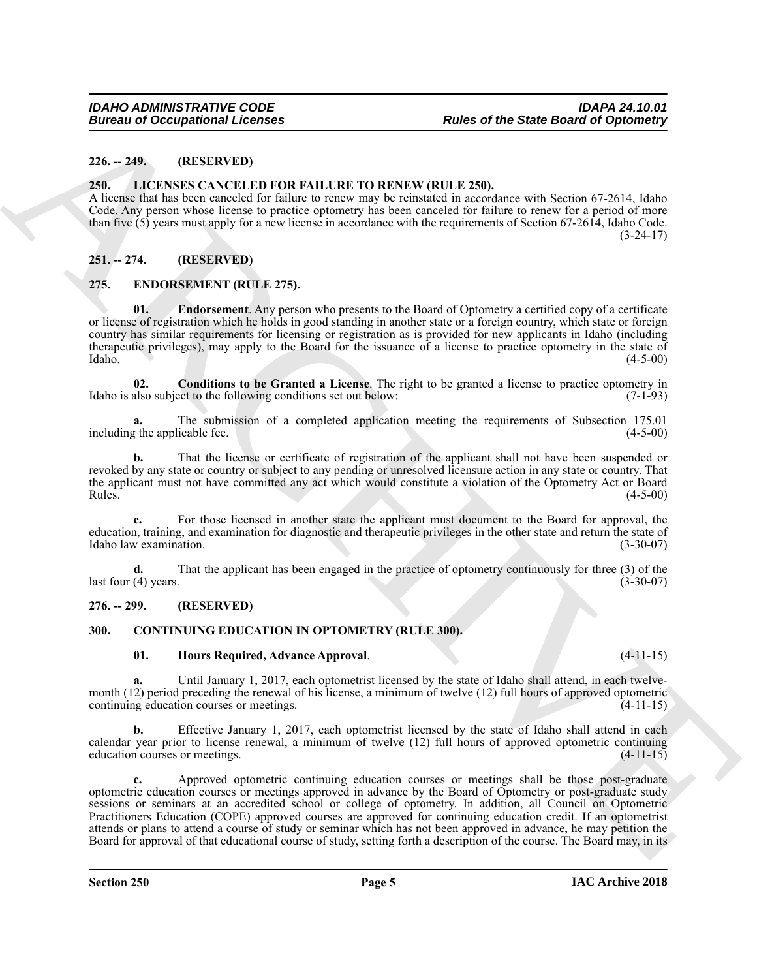#### <span id="page-4-0"></span>**226. -- 249. (RESERVED)**

#### <span id="page-4-11"></span><span id="page-4-1"></span>**250. LICENSES CANCELED FOR FAILURE TO RENEW (RULE 250).**

A license that has been canceled for failure to renew may be reinstated in accordance with Section 67-2614, Idaho Code. Any person whose license to practice optometry has been canceled for failure to renew for a period of more than five (5) years must apply for a new license in accordance with the requirements of Section 67-2614, Idaho Code.  $(3-24-17)$ 

#### <span id="page-4-2"></span>**251. -- 274. (RESERVED)**

#### <span id="page-4-8"></span><span id="page-4-3"></span>**275. ENDORSEMENT (RULE 275).**

<span id="page-4-10"></span>**01. Endorsement**. Any person who presents to the Board of Optometry a certified copy of a certificate or license of registration which he holds in good standing in another state or a foreign country, which state or foreign country has similar requirements for licensing or registration as is provided for new applicants in Idaho (including therapeutic privileges), may apply to the Board for the issuance of a license to practice optometry in the state of Idaho. (4-5-00)

<span id="page-4-9"></span>**02. Conditions to be Granted a License**. The right to be granted a license to practice optometry in Idaho is also subject to the following conditions set out below: (7-1-93)

**a.** The submission of a completed application meeting the requirements of Subsection 175.01 including the applicable fee. (4-5-00)

**b.** That the license or certificate of registration of the applicant shall not have been suspended or revoked by any state or country or subject to any pending or unresolved licensure action in any state or country. That the applicant must not have committed any act which would constitute a violation of the Optometry Act or Board<br>Rules. (4-5-00)  $Rules.$  (4-5-00)

**c.** For those licensed in another state the applicant must document to the Board for approval, the education, training, and examination for diagnostic and therapeutic privileges in the other state and return the state of Idaho law examination. (3-30-07)

**d.** That the applicant has been engaged in the practice of optometry continuously for three (3) of the  $\text{last four (4) years.}$  (3-30-07)

#### <span id="page-4-4"></span>**276. -- 299. (RESERVED)**

#### <span id="page-4-5"></span>**300. CONTINUING EDUCATION IN OPTOMETRY (RULE 300).**

#### <span id="page-4-7"></span><span id="page-4-6"></span>**01. Hours Required, Advance Approval**. (4-11-15)

**a.** Until January 1, 2017, each optometrist licensed by the state of Idaho shall attend, in each twelvemonth (12) period preceding the renewal of his license, a minimum of twelve (12) full hours of approved optometric continuing education courses or meetings. (4-11-15) continuing education courses or meetings.

**b.** Effective January 1, 2017, each optometrist licensed by the state of Idaho shall attend in each calendar year prior to license renewal, a minimum of twelve (12) full hours of approved optometric continuing education courses or meetings. (4-11-15) education courses or meetings.

ARCHIVE **c.** Approved optometric continuing education courses or meetings shall be those post-graduate optometric education courses or meetings approved in advance by the Board of Optometry or post-graduate study sessions or seminars at an accredited school or college of optometry. In addition, all Council on Optometric Practitioners Education (COPE) approved courses are approved for continuing education credit. If an optometrist attends or plans to attend a course of study or seminar which has not been approved in advance, he may petition the Board for approval of that educational course of study, setting forth a description of the course. The Board may, in its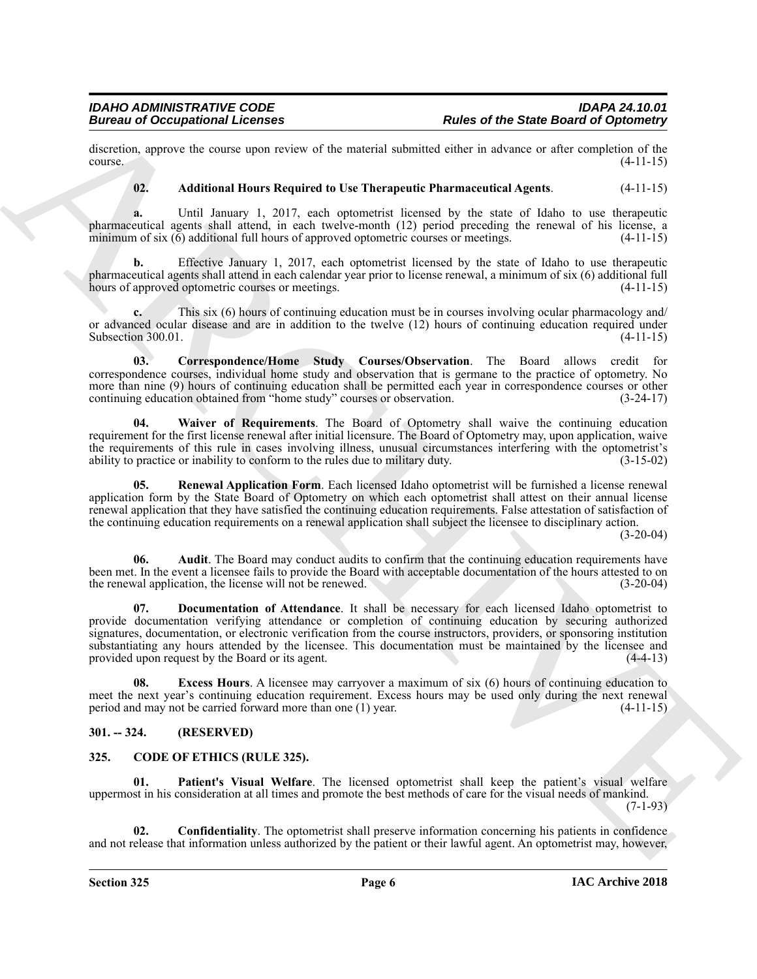discretion, approve the course upon review of the material submitted either in advance or after completion of the course. (4-11-15)  $\frac{1}{4}$  (4-11-15)

#### <span id="page-5-5"></span>**02. Additional Hours Required to Use Therapeutic Pharmaceutical Agents**. (4-11-15)

**a.** Until January 1, 2017, each optometrist licensed by the state of Idaho to use therapeutic pharmaceutical agents shall attend, in each twelve-month (12) period preceding the renewal of his license, a minimum of six (6) additional full hours of approved optometric courses or meetings. (4-11-15) minimum of six  $(6)$  additional full hours of approved optometric courses or meetings.

**b.** Effective January 1, 2017, each optometrist licensed by the state of Idaho to use therapeutic pharmaceutical agents shall attend in each calendar year prior to license renewal, a minimum of six (6) additional full hours of approved optometric courses or meetings. (4-11-15)

**c.** This six (6) hours of continuing education must be in courses involving ocular pharmacology and/ or advanced ocular disease and are in addition to the twelve (12) hours of continuing education required under Subsection 300.01.  $(4-11-15)$ 

<span id="page-5-7"></span>**03. Correspondence/Home Study Courses/Observation**. The Board allows credit for correspondence courses, individual home study and observation that is germane to the practice of optometry. No more than nine (9) hours of continuing education shall be permitted each year in correspondence courses or other continuing education obtained from "home study" courses or observation. (3-24-17)

<span id="page-5-11"></span>**04. Waiver of Requirements**. The Board of Optometry shall waive the continuing education requirement for the first license renewal after initial licensure. The Board of Optometry may, upon application, waive the requirements of this rule in cases involving illness, unusual circumstances interfering with the optometrist's ability to practice or inability to conform to the rules due to military duty.  $(3-15-02)$ ability to practice or inability to conform to the rules due to military duty.

<span id="page-5-10"></span>**05. Renewal Application Form**. Each licensed Idaho optometrist will be furnished a license renewal application form by the State Board of Optometry on which each optometrist shall attest on their annual license renewal application that they have satisfied the continuing education requirements. False attestation of satisfaction of the continuing education requirements on a renewal application shall subject the licensee to disciplinary action.

 $(3-20-04)$ 

<span id="page-5-8"></span><span id="page-5-6"></span>**06. Audit**. The Board may conduct audits to confirm that the continuing education requirements have been met. In the event a licensee fails to provide the Board with acceptable documentation of the hours attested to on the renewal application, the license will not be renewed. (3-20-04)

Butter of the Companional Lebennes<br>
Butter of the State Butter of the State Butter of State Butter and the State Butter and the Vale of the State Butter of the State Butter of the State Butter of the State Butter of the S **07. Documentation of Attendance**. It shall be necessary for each licensed Idaho optometrist to provide documentation verifying attendance or completion of continuing education by securing authorized signatures, documentation, or electronic verification from the course instructors, providers, or sponsoring institution substantiating any hours attended by the licensee. This documentation must be maintained by the licensee and provided upon request by the Board or its agent. (4-4-13) provided upon request by the Board or its agent.

<span id="page-5-9"></span>**08.** Excess Hours. A licensee may carryover a maximum of six (6) hours of continuing education to meet the next year's continuing education requirement. Excess hours may be used only during the next renewal period and may not be carried forward more than one (1) year. (4-11-15)

#### <span id="page-5-0"></span>**301. -- 324. (RESERVED)**

#### <span id="page-5-2"></span><span id="page-5-1"></span>**325. CODE OF ETHICS (RULE 325).**

<span id="page-5-4"></span>Patient's Visual Welfare. The licensed optometrist shall keep the patient's visual welfare uppermost in his consideration at all times and promote the best methods of care for the visual needs of mankind.  $(7-1-93)$ 

<span id="page-5-3"></span>**02. Confidentiality**. The optometrist shall preserve information concerning his patients in confidence and not release that information unless authorized by the patient or their lawful agent. An optometrist may, however,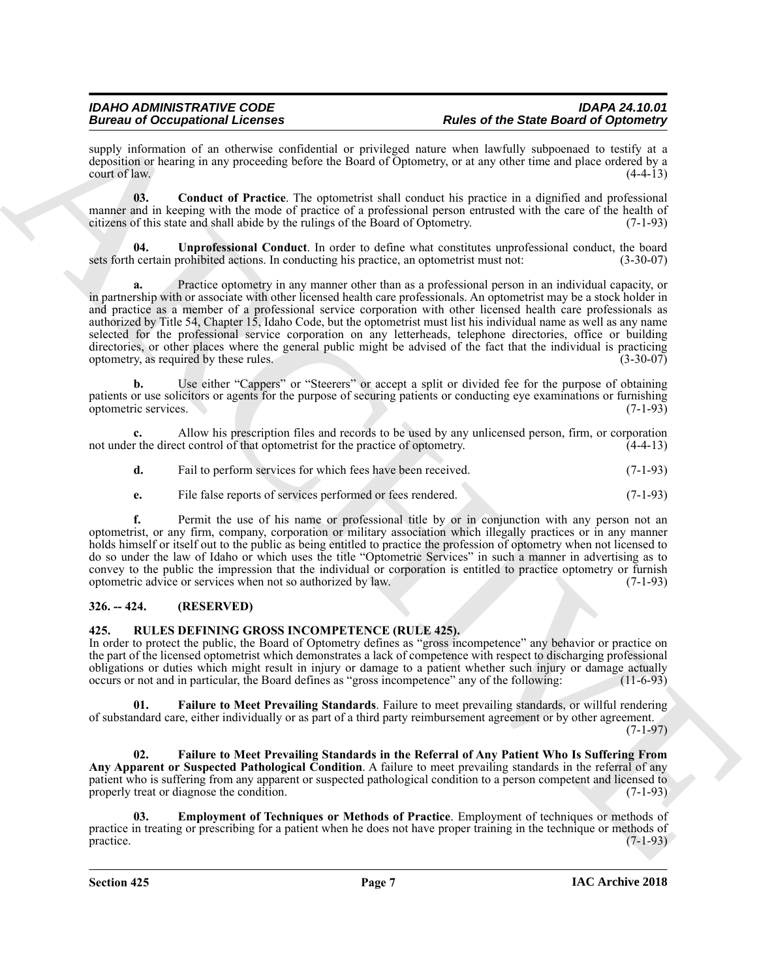supply information of an otherwise confidential or privileged nature when lawfully subpoenaed to testify at a deposition or hearing in any proceeding before the Board of Optometry, or at any other time and place ordered by a court of law.  $(4-4-13)$ 

<span id="page-6-2"></span>**03. Conduct of Practice**. The optometrist shall conduct his practice in a dignified and professional manner and in keeping with the mode of practice of a professional person entrusted with the care of the health of citizens of this state and shall abide by the rulings of the Board of Optometry. (7-1-93) citizens of this state and shall abide by the rulings of the Board of Optometry.

<span id="page-6-3"></span>**04. Unprofessional Conduct**. In order to define what constitutes unprofessional conduct, the board sets forth certain prohibited actions. In conducting his practice, an optometrist must not: (3-30-07)

Brain and Occupation all the new York shares are placed and the other of the Share Board of Diposite<br>
argue in the state of the state of the state of the state of the state of the state of the state of the state of the st **a.** Practice optometry in any manner other than as a professional person in an individual capacity, or in partnership with or associate with other licensed health care professionals. An optometrist may be a stock holder in and practice as a member of a professional service corporation with other licensed health care professionals as authorized by Title 54, Chapter 15, Idaho Code, but the optometrist must list his individual name as well as any name selected for the professional service corporation on any letterheads, telephone directories, office or building directories, or other places where the general public might be advised of the fact that the individual is practicing optometry, as required by these rules. (3-30-07)

**b.** Use either "Cappers" or "Steerers" or accept a split or divided fee for the purpose of obtaining patients or use solicitors or agents for the purpose of securing patients or conducting eye examinations or furnishing optometric services. (7-1-93) optometric services.

**c.** Allow his prescription files and records to be used by any unlicensed person, firm, or corporation not under the direct control of that optometrist for the practice of optometry. (4-4-13)

|  | Fail to perform services for which fees have been received. | $(7-1-93)$ |
|--|-------------------------------------------------------------|------------|
|--|-------------------------------------------------------------|------------|

**e.** File false reports of services performed or fees rendered. (7-1-93)

**f.** Permit the use of his name or professional title by or in conjunction with any person not an optometrist, or any firm, company, corporation or military association which illegally practices or in any manner holds himself or itself out to the public as being entitled to practice the profession of optometry when not licensed to do so under the law of Idaho or which uses the title "Optometric Services" in such a manner in advertising as to convey to the public the impression that the individual or corporation is entitled to practice optometry or furnish optometric advice or services when not so authorized by law. (7-1-93)

#### <span id="page-6-0"></span>**326. -- 424. (RESERVED)**

#### <span id="page-6-4"></span><span id="page-6-1"></span>**425. RULES DEFINING GROSS INCOMPETENCE (RULE 425).**

In order to protect the public, the Board of Optometry defines as "gross incompetence" any behavior or practice on the part of the licensed optometrist which demonstrates a lack of competence with respect to discharging professional obligations or duties which might result in injury or damage to a patient whether such injury or damage actually occurs or not and in particular, the Board defines as "gross incompetence" any of the following: (11-6-93)

<span id="page-6-6"></span>**01. Failure to Meet Prevailing Standards**. Failure to meet prevailing standards, or willful rendering of substandard care, either individually or as part of a third party reimbursement agreement or by other agreement.

(7-1-97)

<span id="page-6-7"></span>**02. Failure to Meet Prevailing Standards in the Referral of Any Patient Who Is Suffering From Any Apparent or Suspected Pathological Condition**. A failure to meet prevailing standards in the referral of any patient who is suffering from any apparent or suspected pathological condition to a person competent and licensed to properly treat or diagnose the condition. (7-1-93)

<span id="page-6-5"></span>**03. Employment of Techniques or Methods of Practice**. Employment of techniques or methods of practice in treating or prescribing for a patient when he does not have proper training in the technique or methods of practice. (7-1-93)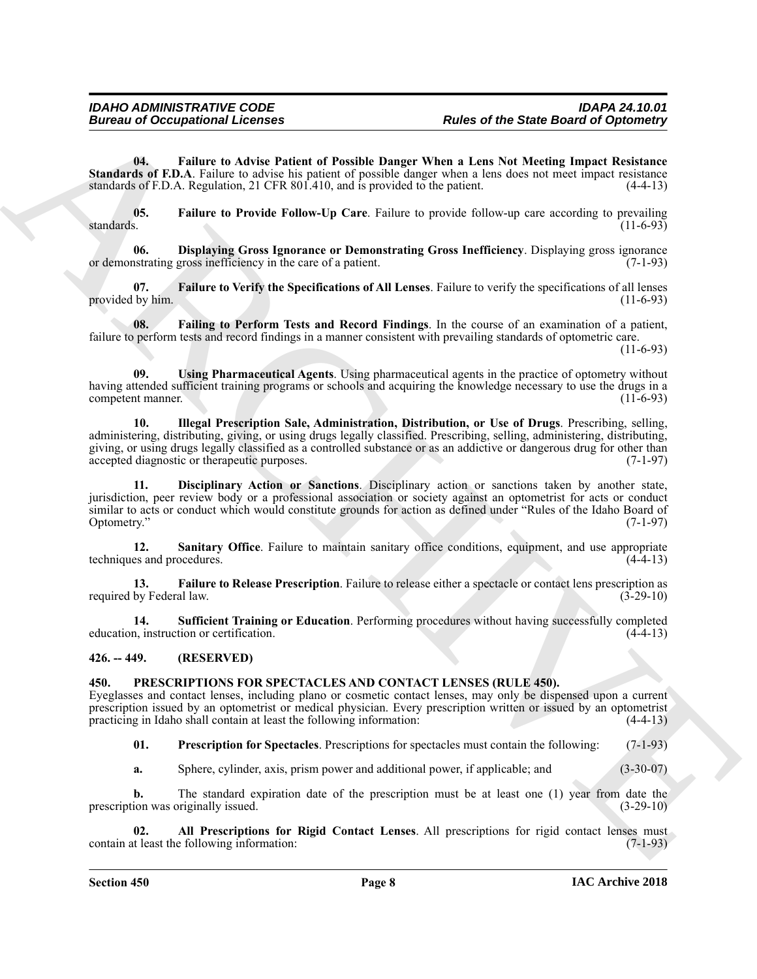<span id="page-7-8"></span>**04. Failure to Advise Patient of Possible Danger When a Lens Not Meeting Impact Resistance Standards of F.D.A**. Failure to advise his patient of possible danger when a lens does not meet impact resistance standards of F.D.A. Regulation, 21 CFR 801.410, and is provided to the patient. standards of F.D.A. Regulation,  $21$  CFR  $801.410$ , and is provided to the patient.

<span id="page-7-9"></span>**05. Failure to Provide Follow-Up Care**. Failure to provide follow-up care according to prevailing standards. (11-6-93)

<span id="page-7-6"></span>**06. Displaying Gross Ignorance or Demonstrating Gross Inefficiency**. Displaying gross ignorance or demonstrating gross inefficiency in the care of a patient. (7-1-93)

<span id="page-7-11"></span>**07. Failure to Verify the Specifications of All Lenses**. Failure to verify the specifications of all lenses provided by him.  $(11-6-93)$ 

<span id="page-7-7"></span>**08. Failing to Perform Tests and Record Findings**. In the course of an examination of a patient, failure to perform tests and record findings in a manner consistent with prevailing standards of optometric care.

(11-6-93)

<span id="page-7-15"></span><span id="page-7-12"></span>**09. Using Pharmaceutical Agents**. Using pharmaceutical agents in the practice of optometry without having attended sufficient training programs or schools and acquiring the knowledge necessary to use the drugs in a competent manner. (11-6-93)

**Europea of Occupational Licenses**<br> **Europea of the State Board of Designational Licenses**<br> **State of the Matter behavior by Advise Detection Theorem State Board of Designation State<br>
State License in the Advise License o 10. Illegal Prescription Sale, Administration, Distribution, or Use of Drugs**. Prescribing, selling, administering, distributing, giving, or using drugs legally classified. Prescribing, selling, administering, distributing, giving, or using drugs legally classified as a controlled substance or as an addictive or dangerous drug for other than accepted diagnostic or therapeutic purposes. accepted diagnostic or therapeutic purposes.

<span id="page-7-5"></span>**11. Disciplinary Action or Sanctions**. Disciplinary action or sanctions taken by another state, jurisdiction, peer review body or a professional association or society against an optometrist for acts or conduct similar to acts or conduct which would constitute grounds for action as defined under "Rules of the Idaho Board of Optometry." (7-1-97)

<span id="page-7-13"></span>**12. Sanitary Office**. Failure to maintain sanitary office conditions, equipment, and use appropriate techniques and procedures. (4-4-13)

<span id="page-7-10"></span>**13. Failure to Release Prescription**. Failure to release either a spectacle or contact lens prescription as required by Federal law. (3-29-10)

<span id="page-7-14"></span>**14. Sufficient Training or Education**. Performing procedures without having successfully completed education, instruction or certification. (4-4-13)

<span id="page-7-0"></span>**426. -- 449. (RESERVED)**

#### <span id="page-7-2"></span><span id="page-7-1"></span>**450. PRESCRIPTIONS FOR SPECTACLES AND CONTACT LENSES (RULE 450).**

Eyeglasses and contact lenses, including plano or cosmetic contact lenses, may only be dispensed upon a current prescription issued by an optometrist or medical physician. Every prescription written or issued by an optometrist practicing in Idaho shall contain at least the following information: (4-4-13)

<span id="page-7-4"></span>**01. Prescription for Spectacles**. Prescriptions for spectacles must contain the following: (7-1-93)

<span id="page-7-3"></span>**a.** Sphere, cylinder, axis, prism power and additional power, if applicable; and (3-30-07)

**b.** The standard expiration date of the prescription must be at least one (1) year from date the prescription was originally issued. (3-29-10)

**02. All Prescriptions for Rigid Contact Lenses**. All prescriptions for rigid contact lenses must contain at least the following information: (7-1-93)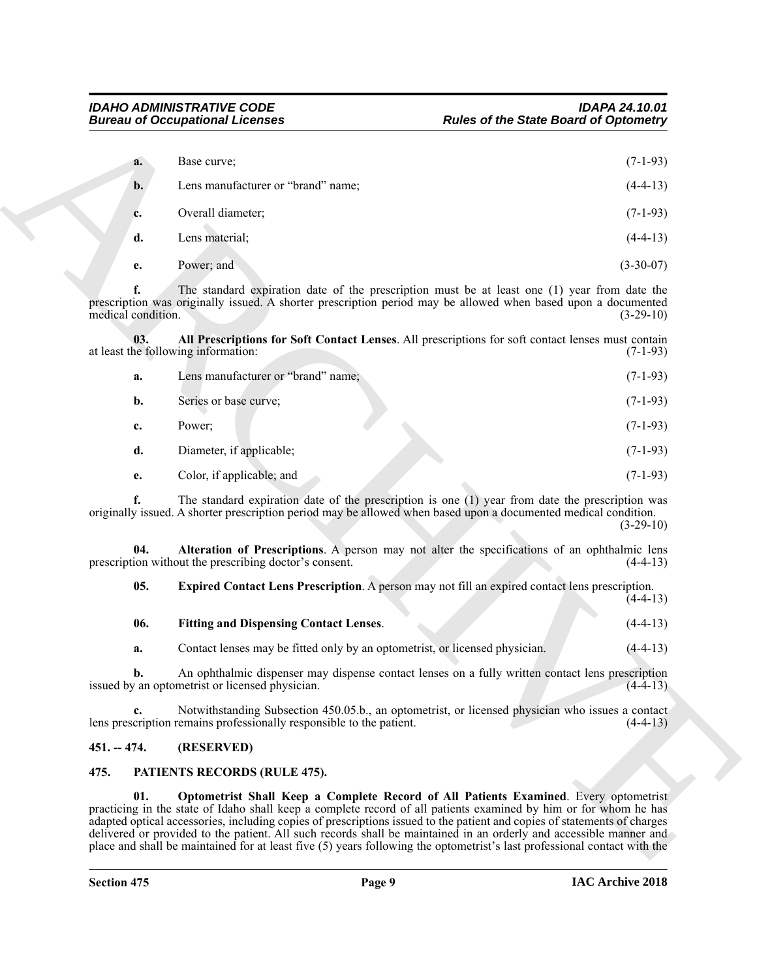<span id="page-8-4"></span>

| a. | Base curve;                        | $(7-1-93)$  |
|----|------------------------------------|-------------|
| b. | Lens manufacturer or "brand" name; | $(4-4-13)$  |
| c. | Overall diameter;                  | $(7-1-93)$  |
| d. | Lens material;                     | $(4-4-13)$  |
| e. | Power; and                         | $(3-30-07)$ |

|                          | <b>Bureau of Occupational Licenses</b>                                      | <b>Rules of the State Board of Optometry</b>                                                                                                                                                                                                                                                                                                                                                                                                                                                                                                                                           |
|--------------------------|-----------------------------------------------------------------------------|----------------------------------------------------------------------------------------------------------------------------------------------------------------------------------------------------------------------------------------------------------------------------------------------------------------------------------------------------------------------------------------------------------------------------------------------------------------------------------------------------------------------------------------------------------------------------------------|
| a.                       | Base curve;                                                                 | $(7-1-93)$                                                                                                                                                                                                                                                                                                                                                                                                                                                                                                                                                                             |
| $\mathbf{b}$ .           | Lens manufacturer or "brand" name;                                          | $(4-4-13)$                                                                                                                                                                                                                                                                                                                                                                                                                                                                                                                                                                             |
| c.                       | Overall diameter;                                                           | $(7-1-93)$                                                                                                                                                                                                                                                                                                                                                                                                                                                                                                                                                                             |
| d.                       | Lens material;                                                              | $(4-4-13)$                                                                                                                                                                                                                                                                                                                                                                                                                                                                                                                                                                             |
| e.                       | Power; and                                                                  | $(3-30-07)$                                                                                                                                                                                                                                                                                                                                                                                                                                                                                                                                                                            |
| f.<br>medical condition. |                                                                             | The standard expiration date of the prescription must be at least one (1) year from date the<br>prescription was originally issued. A shorter prescription period may be allowed when based upon a documented<br>$(3-29-10)$                                                                                                                                                                                                                                                                                                                                                           |
| 03.                      | at least the following information:                                         | All Prescriptions for Soft Contact Lenses. All prescriptions for soft contact lenses must contain<br>$(7-1-93)$                                                                                                                                                                                                                                                                                                                                                                                                                                                                        |
| a.                       | Lens manufacturer or "brand" name;                                          | $(7-1-93)$                                                                                                                                                                                                                                                                                                                                                                                                                                                                                                                                                                             |
| $\mathbf{b}$ .           | Series or base curve;                                                       | $(7-1-93)$                                                                                                                                                                                                                                                                                                                                                                                                                                                                                                                                                                             |
| c.                       | Power;                                                                      | $(7-1-93)$                                                                                                                                                                                                                                                                                                                                                                                                                                                                                                                                                                             |
| d.                       | Diameter, if applicable;                                                    | $(7-1-93)$                                                                                                                                                                                                                                                                                                                                                                                                                                                                                                                                                                             |
| e.                       | Color, if applicable; and                                                   | $(7-1-93)$                                                                                                                                                                                                                                                                                                                                                                                                                                                                                                                                                                             |
| f.                       |                                                                             | The standard expiration date of the prescription is one (1) year from date the prescription was<br>originally issued. A shorter prescription period may be allowed when based upon a documented medical condition.<br>$(3-29-10)$                                                                                                                                                                                                                                                                                                                                                      |
| 04.                      | prescription without the prescribing doctor's consent.                      | Alteration of Prescriptions. A person may not alter the specifications of an ophthalmic lens<br>$(4-4-13)$                                                                                                                                                                                                                                                                                                                                                                                                                                                                             |
| 05.                      |                                                                             | Expired Contact Lens Prescription. A person may not fill an expired contact lens prescription.<br>$(4-4-13)$                                                                                                                                                                                                                                                                                                                                                                                                                                                                           |
| 06.                      | <b>Fitting and Dispensing Contact Lenses.</b>                               | $(4-4-13)$                                                                                                                                                                                                                                                                                                                                                                                                                                                                                                                                                                             |
| a.                       | Contact lenses may be fitted only by an optometrist, or licensed physician. | $(4-4-13)$                                                                                                                                                                                                                                                                                                                                                                                                                                                                                                                                                                             |
| b.                       | issued by an optometrist or licensed physician.                             | An ophthalmic dispenser may dispense contact lenses on a fully written contact lens prescription<br>$(4-4-13)$                                                                                                                                                                                                                                                                                                                                                                                                                                                                         |
|                          | lens prescription remains professionally responsible to the patient.        | Notwithstanding Subsection 450.05.b., an optometrist, or licensed physician who issues a contact<br>$(4-4-13)$                                                                                                                                                                                                                                                                                                                                                                                                                                                                         |
| $451. - 474.$            | (RESERVED)                                                                  |                                                                                                                                                                                                                                                                                                                                                                                                                                                                                                                                                                                        |
| 475.                     | PATIENTS RECORDS (RULE 475).                                                |                                                                                                                                                                                                                                                                                                                                                                                                                                                                                                                                                                                        |
| 01.                      |                                                                             | Optometrist Shall Keep a Complete Record of All Patients Examined. Every optometrist<br>practicing in the state of Idaho shall keep a complete record of all patients examined by him or for whom he has<br>adapted optical accessories, including copies of prescriptions issued to the patient and copies of statements of charges<br>delivered or provided to the patient. All such records shall be maintained in an orderly and accessible manner and<br>place and shall be maintained for at least five (5) years following the optometrist's last professional contact with the |

<span id="page-8-7"></span><span id="page-8-6"></span><span id="page-8-5"></span>

| 06. | <b>Fitting and Dispensing Contact Lenses.</b> | $(4-4-13)$ |
|-----|-----------------------------------------------|------------|
|     |                                               |            |

#### <span id="page-8-0"></span>**451. -- 474. (RESERVED)**

#### <span id="page-8-3"></span><span id="page-8-2"></span><span id="page-8-1"></span>**475. PATIENTS RECORDS (RULE 475).**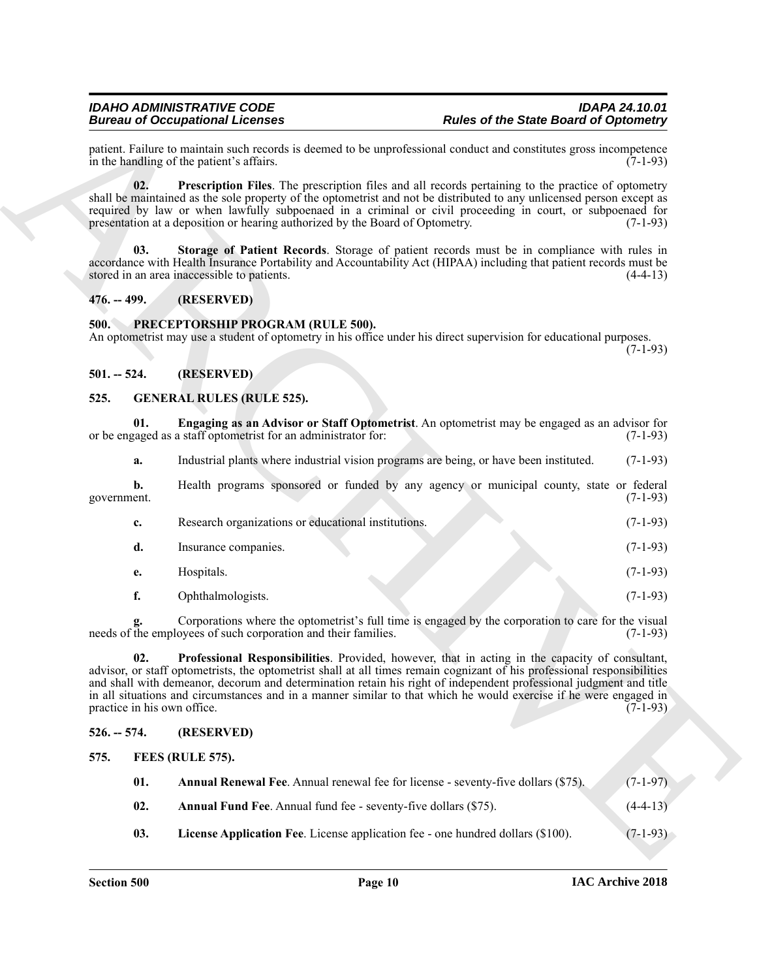#### <span id="page-9-14"></span><span id="page-9-13"></span><span id="page-9-0"></span>**476. -- 499. (RESERVED)**

#### <span id="page-9-15"></span><span id="page-9-1"></span>**500. PRECEPTORSHIP PROGRAM (RULE 500).**

#### <span id="page-9-2"></span>**501. -- 524. (RESERVED)**

#### <span id="page-9-11"></span><span id="page-9-10"></span><span id="page-9-3"></span>**525. GENERAL RULES (RULE 525).**

|                                    | <b>Bureau of Occupational Licenses</b>                                        | <b>Rules of the State Board of Optometry</b>                                                                                                                                                                                                                                                                                                                                                                                                                           |            |
|------------------------------------|-------------------------------------------------------------------------------|------------------------------------------------------------------------------------------------------------------------------------------------------------------------------------------------------------------------------------------------------------------------------------------------------------------------------------------------------------------------------------------------------------------------------------------------------------------------|------------|
|                                    | in the handling of the patient's affairs.                                     | patient. Failure to maintain such records is deemed to be unprofessional conduct and constitutes gross incompetence                                                                                                                                                                                                                                                                                                                                                    | $(7-1-93)$ |
| 02.                                | presentation at a deposition or hearing authorized by the Board of Optometry. | Prescription Files. The prescription files and all records pertaining to the practice of optometry<br>shall be maintained as the sole property of the optometrist and not be distributed to any unlicensed person except as<br>required by law or when lawfully subpoenaed in a criminal or civil proceeding in court, or subpoenaed for                                                                                                                               | $(7-1-93)$ |
| 03.                                | stored in an area inaccessible to patients.                                   | Storage of Patient Records. Storage of patient records must be in compliance with rules in<br>accordance with Health Insurance Portability and Accountability Act (HIPAA) including that patient records must be                                                                                                                                                                                                                                                       | $(4-4-13)$ |
| $476. - 499.$                      | (RESERVED)                                                                    |                                                                                                                                                                                                                                                                                                                                                                                                                                                                        |            |
| 500.                               | PRECEPTORSHIP PROGRAM (RULE 500).                                             | An optometrist may use a student of optometry in his office under his direct supervision for educational purposes.                                                                                                                                                                                                                                                                                                                                                     | $(7-1-93)$ |
| $501. - 524.$                      | (RESERVED)                                                                    |                                                                                                                                                                                                                                                                                                                                                                                                                                                                        |            |
| 525.                               | <b>GENERAL RULES (RULE 525).</b>                                              |                                                                                                                                                                                                                                                                                                                                                                                                                                                                        |            |
| 01.                                | or be engaged as a staff optometrist for an administrator for:                | Engaging as an Advisor or Staff Optometrist. An optometrist may be engaged as an advisor for                                                                                                                                                                                                                                                                                                                                                                           | $(7-1-93)$ |
| a.                                 |                                                                               | Industrial plants where industrial vision programs are being, or have been instituted.                                                                                                                                                                                                                                                                                                                                                                                 | $(7-1-93)$ |
| b.<br>government.                  |                                                                               | Health programs sponsored or funded by any agency or municipal county, state or federal                                                                                                                                                                                                                                                                                                                                                                                | $(7-1-93)$ |
| c.                                 | Research organizations or educational institutions.                           |                                                                                                                                                                                                                                                                                                                                                                                                                                                                        | $(7-1-93)$ |
| d.                                 | Insurance companies.                                                          |                                                                                                                                                                                                                                                                                                                                                                                                                                                                        | $(7-1-93)$ |
| e.                                 | Hospitals.                                                                    |                                                                                                                                                                                                                                                                                                                                                                                                                                                                        | $(7-1-93)$ |
| f.                                 | Ophthalmologists.                                                             |                                                                                                                                                                                                                                                                                                                                                                                                                                                                        | $(7-1-93)$ |
|                                    | needs of the employees of such corporation and their families.                | Corporations where the optometrist's full time is engaged by the corporation to care for the visual                                                                                                                                                                                                                                                                                                                                                                    | $(7-1-93)$ |
| 02.<br>practice in his own office. |                                                                               | Professional Responsibilities. Provided, however, that in acting in the capacity of consultant,<br>advisor, or staff optometrists, the optometrist shall at all times remain cognizant of his professional responsibilities<br>and shall with demeanor, decorum and determination retain his right of independent professional judgment and title<br>in all situations and circumstances and in a manner similar to that which he would exercise if he were engaged in | $(7-1-93)$ |
| $526. - 574.$                      | (RESERVED)                                                                    |                                                                                                                                                                                                                                                                                                                                                                                                                                                                        |            |
| 575.                               | FEES (RULE 575).                                                              |                                                                                                                                                                                                                                                                                                                                                                                                                                                                        |            |
| 01.                                |                                                                               | Annual Renewal Fee. Annual renewal fee for license - seventy-five dollars (\$75).                                                                                                                                                                                                                                                                                                                                                                                      | $(7-1-97)$ |
| 02.                                | Annual Fund Fee. Annual fund fee - seventy-five dollars (\$75).               |                                                                                                                                                                                                                                                                                                                                                                                                                                                                        | $(4-4-13)$ |
|                                    |                                                                               |                                                                                                                                                                                                                                                                                                                                                                                                                                                                        |            |

#### <span id="page-9-12"></span><span id="page-9-5"></span><span id="page-9-4"></span>**526. -- 574. (RESERVED)**

<span id="page-9-9"></span><span id="page-9-8"></span><span id="page-9-7"></span><span id="page-9-6"></span>

| -01. | <b>Annual Renewal Fee.</b> Annual renewal fee for license - seventy-five dollars (\$75). | $(7-1-97)$ |
|------|------------------------------------------------------------------------------------------|------------|
| -02. | <b>Annual Fund Fee.</b> Annual fund fee - seventy-five dollars (\$75).                   | $(4-4-13)$ |
| 03.  | <b>License Application Fee.</b> License application fee - one hundred dollars (\$100).   | $(7-1-93)$ |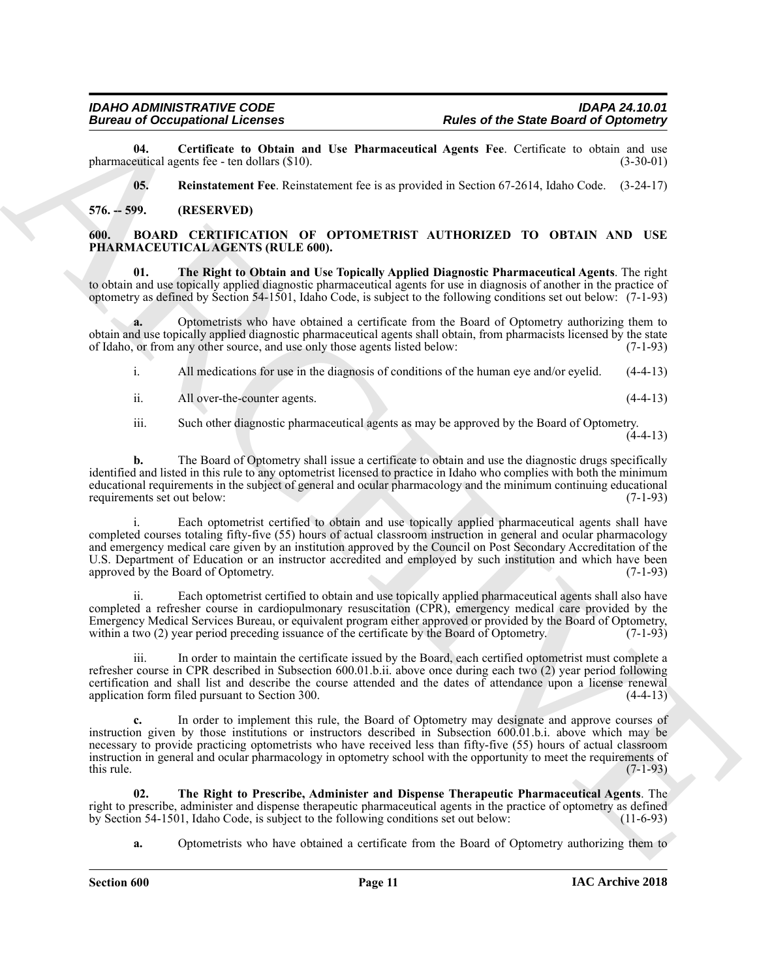**04. Certificate to Obtain and Use Pharmaceutical Agents Fee**. Certificate to obtain and use pharmaceutical agents fee - ten dollars  $(\$10)$ .

<span id="page-10-6"></span><span id="page-10-5"></span><span id="page-10-2"></span>**05. Reinstatement Fee**. Reinstatement fee is as provided in Section 67-2614, Idaho Code. (3-24-17)

#### <span id="page-10-0"></span>**576. -- 599. (RESERVED)**

#### <span id="page-10-1"></span>**600. BOARD CERTIFICATION OF OPTOMETRIST AUTHORIZED TO OBTAIN AND USE PHARMACEUTICAL AGENTS (RULE 600).**

<span id="page-10-3"></span>**01. The Right to Obtain and Use Topically Applied Diagnostic Pharmaceutical Agents**. The right to obtain and use topically applied diagnostic pharmaceutical agents for use in diagnosis of another in the practice of optometry as defined by Section 54-1501, Idaho Code, is subject to the following conditions set out below: (7-1-93)

**a.** Optometrists who have obtained a certificate from the Board of Optometry authorizing them to obtain and use topically applied diagnostic pharmaceutical agents shall obtain, from pharmacists licensed by the state of Idaho, or from any other source, and use only those agents listed below: (7-1-93) of Idaho, or from any other source, and use only those agents listed below:

i. All medications for use in the diagnosis of conditions of the human eye and/or eyelid. (4-4-13)

ii. All over-the-counter agents. (4-4-13)

iii. Such other diagnostic pharmaceutical agents as may be approved by the Board of Optometry.

 $(4-4-13)$ 

**b.** The Board of Optometry shall issue a certificate to obtain and use the diagnostic drugs specifically identified and listed in this rule to any optometrist licensed to practice in Idaho who complies with both the minimum educational requirements in the subject of general and ocular pharmacology and the minimum continuing educational requirements set out below: (7-1-93)

**Example of the Same Board of Constraint Constraint Constraint Constraint Constraint Constraint Constraint Constraint Constraint Constraint Constraint Constraint Constraint Constraint Constraint Constraint Constraint Cons** i. Each optometrist certified to obtain and use topically applied pharmaceutical agents shall have completed courses totaling fifty-five (55) hours of actual classroom instruction in general and ocular pharmacology and emergency medical care given by an institution approved by the Council on Post Secondary Accreditation of the U.S. Department of Education or an instructor accredited and employed by such institution and which have been approved by the Board of Optometry. (7-1-93) approved by the Board of Optometry.

Each optometrist certified to obtain and use topically applied pharmaceutical agents shall also have completed a refresher course in cardiopulmonary resuscitation (CPR), emergency medical care provided by the Emergency Medical Services Bureau, or equivalent program either approved or provided by the Board of Optometry, within a two (2) year period preceding issuance of the certificate by the Board of Optometry. (7-1-93)

iii. In order to maintain the certificate issued by the Board, each certified optometrist must complete a refresher course in CPR described in Subsection 600.01.b.ii. above once during each two (2) year period following certification and shall list and describe the course attended and the dates of attendance upon a license renewal application form filed pursuant to Section 300. (4-4-13)

**c.** In order to implement this rule, the Board of Optometry may designate and approve courses of instruction given by those institutions or instructors described in Subsection 600.01.b.i. above which may be necessary to provide practicing optometrists who have received less than fifty-five (55) hours of actual classroom instruction in general and ocular pharmacology in optometry school with the opportunity to meet the requirements of this rule.  $(7-1-93)$ 

**02. The Right to Prescribe, Administer and Dispense Therapeutic Pharmaceutical Agents**. The right to prescribe, administer and dispense therapeutic pharmaceutical agents in the practice of optometry as defined by Section 54-1501, Idaho Code, is subject to the following conditions set out below: (11-6-93)

<span id="page-10-4"></span>**a.** Optometrists who have obtained a certificate from the Board of Optometry authorizing them to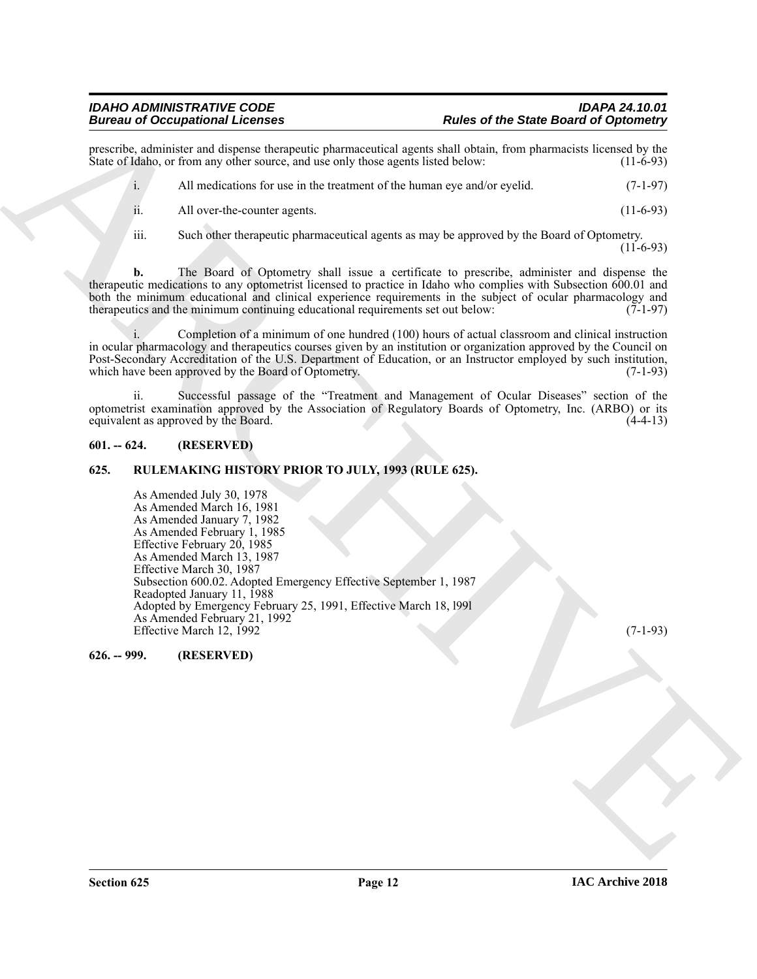prescribe, administer and dispense therapeutic pharmaceutical agents shall obtain, from pharmacists licensed by the State of Idaho, or from any other source, and use only those agents listed below: (11-6-93) State of Idaho, or from any other source, and use only those agents listed below:

i. All medications for use in the treatment of the human eye and/or eyelid. (7-1-97) ii. All over-the-counter agents. (11-6-93)

iii. Such other therapeutic pharmaceutical agents as may be approved by the Board of Optometry.

 $(11-6-93)$ 

**b.** The Board of Optometry shall issue a certificate to prescribe, administer and dispense the therapeutic medications to any optometrist licensed to practice in Idaho who complies with Subsection 600.01 and both the minimum educational and clinical experience requirements in the subject of ocular pharmacology and therapeutics and the minimum continuing educational requirements set out below: (7-1-97)

i. Completion of a minimum of one hundred (100) hours of actual classroom and clinical instruction in ocular pharmacology and therapeutics courses given by an institution or organization approved by the Council on Post-Secondary Accreditation of the U.S. Department of Education, or an Instructor employed by such institution, which have been approved by the Board of Optometry. (7-1-93)

ii. Successful passage of the "Treatment and Management of Ocular Diseases" section of the optometrist examination approved by the Association of Regulatory Boards of Optometry, Inc. (ARBO) or its equivalent as approved by the Board.

#### <span id="page-11-0"></span>**601. -- 624. (RESERVED)**

#### <span id="page-11-1"></span>**625. RULEMAKING HISTORY PRIOR TO JULY, 1993 (RULE 625).**

Bureau of Occupational Learners of the AS appendix particles of the State Board of Optionity ( $\frac{1}{2}$  Control Learners) ( $\frac{1}{2}$  Control Learners) ( $\frac{1}{2}$  Control Learners) ( $\frac{1}{2}$  Control Learners) ( $\frac{1}{2}$  C As Amended July 30, 1978 As Amended March 16, 1981 As Amended January 7, 1982 As Amended February 1, 1985 Effective February 20, 1985 As Amended March 13, 1987 Effective March 30, 1987 Subsection 600.02. Adopted Emergency Effective September 1, 1987 Readopted January 11, 1988 Adopted by Emergency February 25, 1991, Effective March 18, l99l As Amended February 21, 1992 Effective March 12, 1992 (7-1-93)

<span id="page-11-2"></span>**626. -- 999. (RESERVED)**